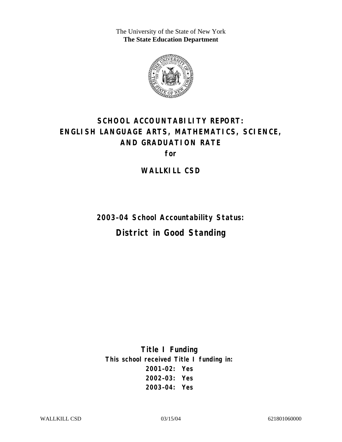The University of the State of New York **The State Education Department** 



# **SCHOOL ACCOUNTABILITY REPORT: ENGLISH LANGUAGE ARTS, MATHEMATICS, SCIENCE, AND GRADUATION RATE**

**for** 

**WALLKILL CSD** 

**2003–04 School Accountability Status: District in Good Standing** 

**Title I Funding This school received Title I funding in: 2001–02: Yes 2002–03: Yes 2003–04: Yes**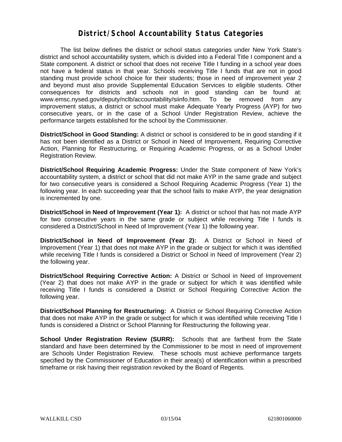#### **District/School Accountability Status Categories**

The list below defines the district or school status categories under New York State's district and school accountability system, which is divided into a Federal Title I component and a State component. A district or school that does not receive Title I funding in a school year does not have a federal status in that year. Schools receiving Title I funds that are not in good standing must provide school choice for their students; those in need of improvement year 2 and beyond must also provide Supplemental Education Services to eligible students. Other consequences for districts and schools not in good standing can be found at: www.emsc.nysed.gov/deputy/nclb/accountability/siinfo.htm. To be removed from any improvement status, a district or school must make Adequate Yearly Progress (AYP) for two consecutive years, or in the case of a School Under Registration Review, achieve the performance targets established for the school by the Commissioner.

**District/School in Good Standing:** A district or school is considered to be in good standing if it has not been identified as a District or School in Need of Improvement, Requiring Corrective Action, Planning for Restructuring, or Requiring Academic Progress, or as a School Under Registration Review.

**District/School Requiring Academic Progress:** Under the State component of New York's accountability system, a district or school that did not make AYP in the same grade and subject for two consecutive years is considered a School Requiring Academic Progress (Year 1) the following year. In each succeeding year that the school fails to make AYP, the year designation is incremented by one.

**District/School in Need of Improvement (Year 1):** A district or school that has not made AYP for two consecutive years in the same grade or subject while receiving Title I funds is considered a District/School in Need of Improvement (Year 1) the following year.

**District/School in Need of Improvement (Year 2):** A District or School in Need of Improvement (Year 1) that does not make AYP in the grade or subject for which it was identified while receiving Title I funds is considered a District or School in Need of Improvement (Year 2) the following year.

**District/School Requiring Corrective Action:** A District or School in Need of Improvement (Year 2) that does not make AYP in the grade or subject for which it was identified while receiving Title I funds is considered a District or School Requiring Corrective Action the following year.

**District/School Planning for Restructuring:** A District or School Requiring Corrective Action that does not make AYP in the grade or subject for which it was identified while receiving Title I funds is considered a District or School Planning for Restructuring the following year.

**School Under Registration Review (SURR):** Schools that are farthest from the State standard and have been determined by the Commissioner to be most in need of improvement are Schools Under Registration Review. These schools must achieve performance targets specified by the Commissioner of Education in their area(s) of identification within a prescribed timeframe or risk having their registration revoked by the Board of Regents.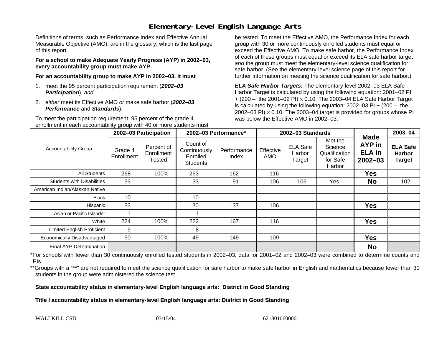## **Elementary-Level English Language Arts**

Definitions of terms, such as Performance Index and Effective Annual Measurable Objective (AMO), are in the glossary, which is the last page of this report.

**For a school to make Adequate Yearly Progress (AYP) in 2002–03, every accountability group must make AYP.** 

**For an accountability group to make AYP in 2002–03, it must** 

- 1. meet the 95 percent participation requirement (*2002–03 Participation*), *and*
- 2. *either* meet its Effective AMO *or* make safe harbor (*2002–03 Performance* and *Standards*).

To meet the participation requirement, 95 percent of the grade 4 enrollment in each accountability group with 40 or more students must

be tested. To meet the Effective AMO, the Performance Index for each group with 30 or more continuously enrolled students must equal or exceed the Effective AMO. To make safe harbor, the Performance Index of each of these groups must equal or exceed its ELA safe harbor target *and* the group must meet the elementary-level science qualification for safe harbor. (See the elementary-level science page of this report for further information on meeting the science qualification for safe harbor.)

*ELA Safe Harbor Targets:* The elementary-level 2002–03 ELA Safe Harbor Target is calculated by using the following equation: 2001–02 PI + (200 – the 2001–02 PI) <sup>×</sup> 0.10. The 2003–04 ELA Safe Harbor Target is calculated by using the following equation: 2002–03 PI + (200 – the 2002–03 PI)  $\times$  0.10. The 2003–04 target is provided for groups whose PI was below the Effective AMO in 2002–03.

|                                   | 2002-03 Participation |                                    | 2002-03 Performance*                                    |                      |                  | 2002-03 Standards                   | <b>Made</b>                                               | 2003-04                                |                                                   |
|-----------------------------------|-----------------------|------------------------------------|---------------------------------------------------------|----------------------|------------------|-------------------------------------|-----------------------------------------------------------|----------------------------------------|---------------------------------------------------|
| <b>Accountability Group</b>       | Grade 4<br>Enrollment | Percent of<br>Enrollment<br>Tested | Count of<br>Continuously<br>Enrolled<br><b>Students</b> | Performance<br>Index | Effective<br>AMO | <b>ELA Safe</b><br>Harbor<br>Target | Met the<br>Science<br>Qualification<br>for Safe<br>Harbor | AYP in<br><b>ELA</b> in<br>$2002 - 03$ | <b>ELA Safe</b><br><b>Harbor</b><br><b>Target</b> |
| All Students                      | 268                   | 100%                               | 263                                                     | 162                  | 116              |                                     |                                                           | Yes                                    |                                                   |
| <b>Students with Disabilities</b> | 33                    |                                    | 33                                                      | 91                   | 106              | 106                                 | Yes                                                       | <b>No</b>                              | 102                                               |
| American Indian/Alaskan Native    |                       |                                    |                                                         |                      |                  |                                     |                                                           |                                        |                                                   |
| Black                             | 10                    |                                    | 10                                                      |                      |                  |                                     |                                                           |                                        |                                                   |
| Hispanic                          | 33                    |                                    | 30                                                      | 137                  | 106              |                                     |                                                           | Yes                                    |                                                   |
| Asian or Pacific Islander         |                       |                                    |                                                         |                      |                  |                                     |                                                           |                                        |                                                   |
| White                             | 224                   | 100%                               | 222                                                     | 167                  | 116              |                                     |                                                           | <b>Yes</b>                             |                                                   |
| Limited English Proficient        | 9                     |                                    | 8                                                       |                      |                  |                                     |                                                           |                                        |                                                   |
| Economically Disadvantaged        | 50                    | 100%                               | 49                                                      | 149                  | 109              |                                     |                                                           | <b>Yes</b>                             |                                                   |
| <b>Final AYP Determination</b>    |                       |                                    |                                                         |                      |                  |                                     |                                                           | <b>No</b>                              |                                                   |

\*For schools with fewer than 30 continuously enrolled tested students in 2002–03, data for 2001–02 and 2002–03 were combined to determine counts and PIs.

\*\*Groups with a "\*\*" are not required to meet the science qualification for safe harbor to make safe harbor in English and mathematics because fewer than 30 students in the group were administered the science test.

**State accountability status in elementary-level English language arts: District in Good Standing** 

Title I accountability status in elementary-level English language arts: District in Good Standing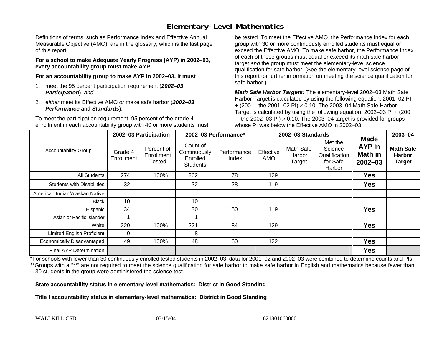## **Elementary-Level Mathematics**

Definitions of terms, such as Performance Index and Effective Annual Measurable Objective (AMO), are in the glossary, which is the last page of this report.

**For a school to make Adequate Yearly Progress (AYP) in 2002–03, every accountability group must make AYP.** 

**For an accountability group to make AYP in 2002–03, it must** 

- 1. meet the 95 percent participation requirement (*2002–03 Participation*), *and*
- 2. *either* meet its Effective AMO *or* make safe harbor (*2002–03 Performance* and *Standards*).

To meet the participation requirement, 95 percent of the grade 4 enrollment in each accountability group with 40 or more students must

be tested. To meet the Effective AMO, the Performance Index for each group with 30 or more continuously enrolled students must equal or exceed the Effective AMO. To make safe harbor, the Performance Index of each of these groups must equal or exceed its math safe harbor target *and* the group must meet the elementary-level science qualification for safe harbor. (See the elementary-level science page of this report for further information on meeting the science qualification for safe harbor.)

*Math Safe Harbor Targets:* The elementary-level 2002–03 Math Safe Harbor Target is calculated by using the following equation: 2001–02 PI + (200 – the 2001–02 PI) × 0.10. The 2003–04 Math Safe Harbor Target is calculated by using the following equation: 2002–03 PI + (200  $-$  the 2002–03 PI)  $\times$  0.10. The 2003–04 target is provided for groups whose PI was below the Effective AMO in 2002–03.

|                                   | 2002-03 Participation |                                    | 2002-03 Performance*                             |                      | 2002-03 Standards       |                               |                                                           |                                                               | 2003-04                                            |
|-----------------------------------|-----------------------|------------------------------------|--------------------------------------------------|----------------------|-------------------------|-------------------------------|-----------------------------------------------------------|---------------------------------------------------------------|----------------------------------------------------|
| <b>Accountability Group</b>       | Grade 4<br>Enrollment | Percent of<br>Enrollment<br>Tested | Count of<br>Continuously<br>Enrolled<br>Students | Performance<br>Index | Effective<br><b>AMO</b> | Math Safe<br>Harbor<br>Target | Met the<br>Science<br>Qualification<br>for Safe<br>Harbor | <b>Made</b><br><b>AYP</b> in<br><b>Math in</b><br>$2002 - 03$ | <b>Math Safe</b><br><b>Harbor</b><br><b>Target</b> |
| All Students                      | 274                   | 100%                               | 262                                              | 178                  | 129                     |                               |                                                           | <b>Yes</b>                                                    |                                                    |
| <b>Students with Disabilities</b> | 32                    |                                    | 32                                               | 128                  | 119                     |                               |                                                           | <b>Yes</b>                                                    |                                                    |
| American Indian/Alaskan Native    |                       |                                    |                                                  |                      |                         |                               |                                                           |                                                               |                                                    |
| <b>Black</b>                      | 10                    |                                    | 10                                               |                      |                         |                               |                                                           |                                                               |                                                    |
| Hispanic                          | 34                    |                                    | 30                                               | 150                  | 119                     |                               |                                                           | <b>Yes</b>                                                    |                                                    |
| Asian or Pacific Islander         |                       |                                    |                                                  |                      |                         |                               |                                                           |                                                               |                                                    |
| White                             | 229                   | 100%                               | 221                                              | 184                  | 129                     |                               |                                                           | <b>Yes</b>                                                    |                                                    |
| <b>Limited English Proficient</b> | 9                     |                                    | 8                                                |                      |                         |                               |                                                           |                                                               |                                                    |
| Economically Disadvantaged        | 49                    | 100%                               | 48                                               | 160                  | 122                     |                               |                                                           | <b>Yes</b>                                                    |                                                    |
| <b>Final AYP Determination</b>    |                       |                                    |                                                  |                      |                         |                               |                                                           | <b>Yes</b>                                                    |                                                    |

\*For schools with fewer than 30 continuously enrolled tested students in 2002–03, data for 2001–02 and 2002–03 were combined to determine counts and PIs. \*\*Groups with a "\*\*" are not required to meet the science qualification for safe harbor to make safe harbor in English and mathematics because fewer than 30 students in the group were administered the science test.

**State accountability status in elementary-level mathematics: District in Good Standing** 

Title I accountability status in elementary-level mathematics: District in Good Standing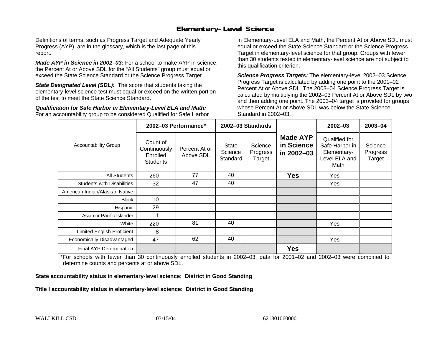#### **Elementary-Level Science**

Definitions of terms, such as Progress Target and Adequate Yearly Progress (AYP), are in the glossary, which is the last page of this report.

*Made AYP in Science in 2002–03:* For a school to make AYP in science, the Percent At or Above SDL for the "All Students" group must equal or exceed the State Science Standard or the Science Progress Target.

**State Designated Level (SDL):** The score that students taking the elementary-level science test must equal or exceed on the written portion of the test to meet the State Science Standard.

*Qualification for Safe Harbor in Elementary-Level ELA and Math:* For an accountability group to be considered Qualified for Safe Harbor in Elementary-Level ELA and Math, the Percent At or Above SDL must equal or exceed the State Science Standard or the Science Progress Target in elementary-level science for that group. Groups with fewer than 30 students tested in elementary-level science are not subject to this qualification criterion.

*Science Progress Targets:* The elementary-level 2002–03 Science Progress Target is calculated by adding one point to the 2001–02 Percent At or Above SDL. The 2003–04 Science Progress Target is calculated by multiplying the 2002–03 Percent At or Above SDL by two and then adding one point. The 2003–04 target is provided for groups whose Percent At or Above SDL was below the State Science Standard in 2002–03.

|                                   |                                                         | 2002-03 Performance*       | 2002-03 Standards                   |                               |                                             | $2002 - 03$                                                             | 2003-04                       |
|-----------------------------------|---------------------------------------------------------|----------------------------|-------------------------------------|-------------------------------|---------------------------------------------|-------------------------------------------------------------------------|-------------------------------|
| <b>Accountability Group</b>       | Count of<br>Continuously<br>Enrolled<br><b>Students</b> | Percent At or<br>Above SDL | <b>State</b><br>Science<br>Standard | Science<br>Progress<br>Target | <b>Made AYP</b><br>in Science<br>in 2002-03 | Qualified for<br>Safe Harbor in<br>Elementary-<br>Level ELA and<br>Math | Science<br>Progress<br>Target |
| All Students                      | 260                                                     | 77                         | 40                                  |                               | <b>Yes</b>                                  | Yes                                                                     |                               |
| <b>Students with Disabilities</b> | 32                                                      | 47                         | 40                                  |                               |                                             | Yes                                                                     |                               |
| American Indian/Alaskan Native    |                                                         |                            |                                     |                               |                                             |                                                                         |                               |
| <b>Black</b>                      | 10                                                      |                            |                                     |                               |                                             |                                                                         |                               |
| Hispanic                          | 29                                                      |                            |                                     |                               |                                             |                                                                         |                               |
| Asian or Pacific Islander         |                                                         |                            |                                     |                               |                                             |                                                                         |                               |
| White                             | 220                                                     | 81                         | 40                                  |                               |                                             | <b>Yes</b>                                                              |                               |
| Limited English Proficient        | 8                                                       |                            |                                     |                               |                                             |                                                                         |                               |
| Economically Disadvantaged        | 47                                                      | 62                         | 40                                  |                               |                                             | Yes                                                                     |                               |
| <b>Final AYP Determination</b>    |                                                         |                            |                                     |                               | <b>Yes</b>                                  |                                                                         |                               |

\*For schools with fewer than 30 continuously enrolled students in 2002–03, data for 2001–02 and 2002–03 were combined to determine counts and percents at or above SDL.

#### **State accountability status in elementary-level science: District in Good Standing**

#### Title I accountability status in elementary-level science: District in Good Standing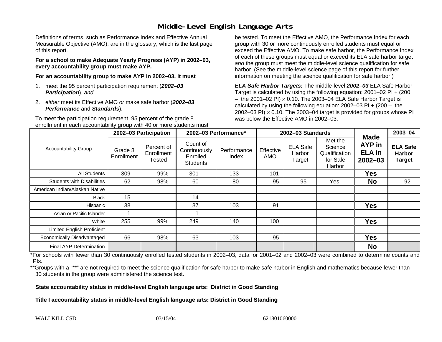### **Middle-Level English Language Arts**

Definitions of terms, such as Performance Index and Effective Annual Measurable Objective (AMO), are in the glossary, which is the last page of this report.

**For a school to make Adequate Yearly Progress (AYP) in 2002–03, every accountability group must make AYP.** 

**For an accountability group to make AYP in 2002–03, it must** 

- 1. meet the 95 percent participation requirement (*2002–03 Participation*), *and*
- 2. *either* meet its Effective AMO *or* make safe harbor (*2002–03 Performance* and *Standards*).

To meet the participation requirement, 95 percent of the grade 8 enrollment in each accountability group with 40 or more students must

be tested. To meet the Effective AMO, the Performance Index for each group with 30 or more continuously enrolled students must equal or exceed the Effective AMO. To make safe harbor, the Performance Index of each of these groups must equal or exceed its ELA safe harbor target *and* the group must meet the middle-level science qualification for safe harbor. (See the middle-level science page of this report for further information on meeting the science qualification for safe harbor.)

*ELA Safe Harbor Targets:* The middle-level *2002–03* ELA Safe Harbor Target is calculated by using the following equation: 2001–02 PI + (200  $-$  the 2001–02 PI)  $\times$  0.10. The 2003–04 ELA Safe Harbor Target is  $\,$ calculated by using the following equation:  $2002-03$  PI +  $(200 -$  the 2002–03 PI)  $\times$  0.10. The 2003–04 target is provided for groups whose PI was below the Effective AMO in 2002–03.

|                                   | 2002-03 Participation |                                    | 2002-03 Performance*                                    |                      |                         | 2002-03 Standards                   | <b>Made</b>                                               | 2003-04                                |                                            |
|-----------------------------------|-----------------------|------------------------------------|---------------------------------------------------------|----------------------|-------------------------|-------------------------------------|-----------------------------------------------------------|----------------------------------------|--------------------------------------------|
| <b>Accountability Group</b>       | Grade 8<br>Enrollment | Percent of<br>Enrollment<br>Tested | Count of<br>Continuously<br>Enrolled<br><b>Students</b> | Performance<br>Index | Effective<br><b>AMO</b> | <b>ELA Safe</b><br>Harbor<br>Target | Met the<br>Science<br>Qualification<br>for Safe<br>Harbor | AYP in<br><b>ELA</b> in<br>$2002 - 03$ | <b>ELA Safe</b><br><b>Harbor</b><br>Target |
| All Students                      | 309                   | 99%                                | 301                                                     | 133                  | 101                     |                                     |                                                           | <b>Yes</b>                             |                                            |
| <b>Students with Disabilities</b> | 62                    | 98%                                | 60                                                      | 80                   | 95                      | 95                                  | Yes                                                       | <b>No</b>                              | 92                                         |
| American Indian/Alaskan Native    |                       |                                    |                                                         |                      |                         |                                     |                                                           |                                        |                                            |
| <b>Black</b>                      | 15                    |                                    | 14                                                      |                      |                         |                                     |                                                           |                                        |                                            |
| Hispanic                          | 38                    |                                    | 37                                                      | 103                  | 91                      |                                     |                                                           | <b>Yes</b>                             |                                            |
| Asian or Pacific Islander         |                       |                                    |                                                         |                      |                         |                                     |                                                           |                                        |                                            |
| White                             | 255                   | 99%                                | 249                                                     | 140                  | 100                     |                                     |                                                           | <b>Yes</b>                             |                                            |
| <b>Limited English Proficient</b> |                       |                                    |                                                         |                      |                         |                                     |                                                           |                                        |                                            |
| Economically Disadvantaged        | 66                    | 98%                                | 63                                                      | 103                  | 95                      |                                     |                                                           | <b>Yes</b>                             |                                            |
| <b>Final AYP Determination</b>    |                       |                                    |                                                         |                      |                         |                                     |                                                           | <b>No</b>                              |                                            |

\*For schools with fewer than 30 continuously enrolled tested students in 2002–03, data for 2001–02 and 2002–03 were combined to determine counts and PIs.

\*\*Groups with a "\*\*" are not required to meet the science qualification for safe harbor to make safe harbor in English and mathematics because fewer than 30 students in the group were administered the science test.

**State accountability status in middle-level English language arts: District in Good Standing** 

Title I accountability status in middle-level English language arts: District in Good Standing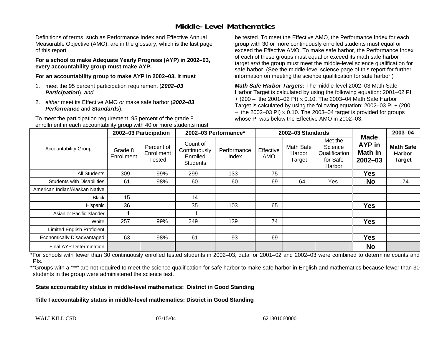### **Middle-Level Mathematics**

Definitions of terms, such as Performance Index and Effective Annual Measurable Objective (AMO), are in the glossary, which is the last page of this report.

**For a school to make Adequate Yearly Progress (AYP) in 2002–03, every accountability group must make AYP.** 

**For an accountability group to make AYP in 2002–03, it must** 

- 1. meet the 95 percent participation requirement (*2002–03 Participation*), *and*
- 2. *either* meet its Effective AMO *or* make safe harbor (*2002–03 Performance* and *Standards*).

To meet the participation requirement, 95 percent of the grade 8 enrollment in each accountability group with 40 or more students must

be tested. To meet the Effective AMO, the Performance Index for each group with 30 or more continuously enrolled students must equal or exceed the Effective AMO. To make safe harbor, the Performance Index of each of these groups must equal or exceed its math safe harbor target *and* the group must meet the middle-level science qualification for safe harbor. (See the middle-level science page of this report for further information on meeting the science qualification for safe harbor.)

*Math Safe Harbor Targets:* The middle-level 2002–03 Math Safe Harbor Target is calculated by using the following equation: 2001–02 PI + (200 – the 2001–02 PI) × 0.10. The 2003–04 Math Safe Harbor Target is calculated by using the following equation: 2002–03 PI + (200  $-$  the 2002–03 PI)  $\times$  0.10. The 2003–04 target is provided for groups whose PI was below the Effective AMO in 2002–03

|                                   | 2002-03 Participation |                                    | 2002-03 Performance*                                    |                      |                         | 2002-03 Standards             |                                                           | 2003-04                                                |                                                    |
|-----------------------------------|-----------------------|------------------------------------|---------------------------------------------------------|----------------------|-------------------------|-------------------------------|-----------------------------------------------------------|--------------------------------------------------------|----------------------------------------------------|
| <b>Accountability Group</b>       | Grade 8<br>Enrollment | Percent of<br>Enrollment<br>Tested | Count of<br>Continuously<br>Enrolled<br><b>Students</b> | Performance<br>Index | Effective<br><b>AMO</b> | Math Safe<br>Harbor<br>Target | Met the<br>Science<br>Qualification<br>for Safe<br>Harbor | <b>Made</b><br>AYP in<br><b>Math in</b><br>$2002 - 03$ | <b>Math Safe</b><br><b>Harbor</b><br><b>Target</b> |
| All Students                      | 309                   | 99%                                | 299                                                     | 133                  | 75                      |                               |                                                           | Yes                                                    |                                                    |
| <b>Students with Disabilities</b> | 61                    | 98%                                | 60                                                      | 60                   | 69                      | 64                            | Yes                                                       | <b>No</b>                                              | 74                                                 |
| American Indian/Alaskan Native    |                       |                                    |                                                         |                      |                         |                               |                                                           |                                                        |                                                    |
| <b>Black</b>                      | 15                    |                                    | 14                                                      |                      |                         |                               |                                                           |                                                        |                                                    |
| Hispanic                          | 36                    |                                    | 35                                                      | 103                  | 65                      |                               |                                                           | <b>Yes</b>                                             |                                                    |
| Asian or Pacific Islander         |                       |                                    |                                                         |                      |                         |                               |                                                           |                                                        |                                                    |
| White                             | 257                   | 99%                                | 249                                                     | 139                  | 74                      |                               |                                                           | <b>Yes</b>                                             |                                                    |
| Limited English Proficient        |                       |                                    |                                                         |                      |                         |                               |                                                           |                                                        |                                                    |
| Economically Disadvantaged        | 63                    | 98%                                | 61                                                      | 93                   | 69                      |                               |                                                           | <b>Yes</b>                                             |                                                    |
| <b>Final AYP Determination</b>    |                       |                                    |                                                         |                      |                         |                               |                                                           | <b>No</b>                                              |                                                    |

\*For schools with fewer than 30 continuously enrolled tested students in 2002–03, data for 2001–02 and 2002–03 were combined to determine counts and PIs.

\*\*Groups with a "\*\*" are not required to meet the science qualification for safe harbor to make safe harbor in English and mathematics because fewer than 30 students in the group were administered the science test.

**State accountability status in middle-level mathematics: District in Good Standing** 

Title I accountability status in middle-level mathematics: District in Good Standing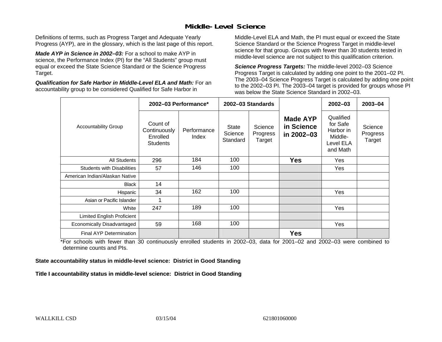### **Middle-Level Science**

Definitions of terms, such as Progress Target and Adequate Yearly Progress (AYP), are in the glossary, which is the last page of this report.

*Made AYP in Science in 2002–03:* For a school to make AYP in science, the Performance Index (PI) for the "All Students" group must equal or exceed the State Science Standard or the Science Progress Target.

*Qualification for Safe Harbor in Middle-Level ELA and Math:* For an accountability group to be considered Qualified for Safe Harbor in

Middle-Level ELA and Math, the PI must equal or exceed the State Science Standard or the Science Progress Target in middle-level science for that group. Groups with fewer than 30 students tested in middle-level science are not subject to this qualification criterion.

*Science Progress Targets:* The middle-level 2002–03 Science Progress Target is calculated by adding one point to the 2001–02 PI. The 2003–04 Science Progress Target is calculated by adding one point to the 2002–03 PI. The 2003–04 target is provided for groups whose PI was below the State Science Standard in 2002–03.

|                                   |                                                         | 2002-03 Performance* |                                     | 2002-03 Standards             |                                             | $2002 - 03$                                                            | $2003 - 04$                   |
|-----------------------------------|---------------------------------------------------------|----------------------|-------------------------------------|-------------------------------|---------------------------------------------|------------------------------------------------------------------------|-------------------------------|
| <b>Accountability Group</b>       | Count of<br>Continuously<br>Enrolled<br><b>Students</b> | Performance<br>Index | <b>State</b><br>Science<br>Standard | Science<br>Progress<br>Target | <b>Made AYP</b><br>in Science<br>in 2002-03 | Qualified<br>for Safe<br>Harbor in<br>Middle-<br>Level ELA<br>and Math | Science<br>Progress<br>Target |
| <b>All Students</b>               | 296                                                     | 184                  | 100                                 |                               | <b>Yes</b>                                  | Yes                                                                    |                               |
| <b>Students with Disabilities</b> | 57                                                      | 146                  | 100                                 |                               |                                             | Yes                                                                    |                               |
| American Indian/Alaskan Native    |                                                         |                      |                                     |                               |                                             |                                                                        |                               |
| <b>Black</b>                      | 14                                                      |                      |                                     |                               |                                             |                                                                        |                               |
| Hispanic                          | 34                                                      | 162                  | 100                                 |                               |                                             | Yes                                                                    |                               |
| Asian or Pacific Islander         | 1                                                       |                      |                                     |                               |                                             |                                                                        |                               |
| White                             | 247                                                     | 189                  | 100                                 |                               |                                             | Yes                                                                    |                               |
| Limited English Proficient        |                                                         |                      |                                     |                               |                                             |                                                                        |                               |
| Economically Disadvantaged        | 59                                                      | 168                  | 100                                 |                               |                                             | Yes                                                                    |                               |
| Final AYP Determination           |                                                         |                      |                                     |                               | <b>Yes</b>                                  |                                                                        |                               |

\*For schools with fewer than 30 continuously enrolled students in 2002–03, data for 2001–02 and 2002–03 were combined to determine counts and PIs.

**State accountability status in middle-level science: District in Good Standing** 

Title I accountability status in middle-level science: District in Good Standing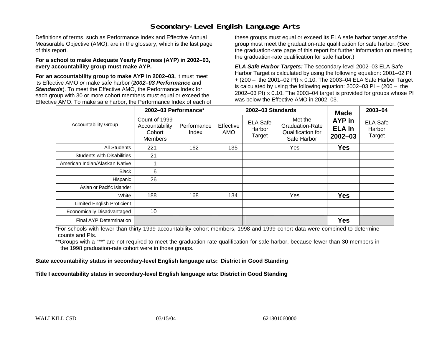### **Secondary-Level English Language Arts**

Definitions of terms, such as Performance Index and Effective Annual Measurable Objective (AMO), are in the glossary, which is the last page of this report.

#### **For a school to make Adequate Yearly Progress (AYP) in 2002–03, every accountability group must make AYP.**

**For an accountability group to make AYP in 2002–03,** it must meet its Effective AMO *or* make safe harbor (*2002–03 Performance* and *Standards*). To meet the Effective AMO, the Performance Index for each group with 30 or more cohort members must equal or exceed the Effective AMO. To make safe harbor, the Performance Index of each of these groups must equal or exceed its ELA safe harbor target *and* the group must meet the graduation-rate qualification for safe harbor. (See the graduation-rate page of this report for further information on meeting the graduation-rate qualification for safe harbor.)

*ELA Safe Harbor Targets:* The secondary-level 2002–03 ELA Safe Harbor Target is calculated by using the following equation: 2001–02 PI + (200 – the 2001–02 PI) <sup>×</sup> 0.10. The 2003–04 ELA Safe Harbor Target is calculated by using the following equation: 2002–03 PI + (200 – the 2002–03 PI)  $\times$  0.10. The 2003–04 target is provided for groups whose PI was below the Effective AMO in 2002–03.

|                                   | 2002-03 Performance*                                        |                                                                                 |     | 2002-03 Standards                                                     | <b>Made</b>                            | 2003-04                             |  |
|-----------------------------------|-------------------------------------------------------------|---------------------------------------------------------------------------------|-----|-----------------------------------------------------------------------|----------------------------------------|-------------------------------------|--|
| <b>Accountability Group</b>       | Count of 1999<br>Accountability<br>Cohort<br><b>Members</b> | <b>ELA Safe</b><br>Effective<br>Performance<br>Harbor<br>AMO<br>Index<br>Target |     | Met the<br><b>Graduation-Rate</b><br>Qualification for<br>Safe Harbor | AYP in<br><b>ELA in</b><br>$2002 - 03$ | <b>ELA Safe</b><br>Harbor<br>Target |  |
| All Students                      | 221                                                         | 162                                                                             | 135 |                                                                       | Yes                                    | <b>Yes</b>                          |  |
| <b>Students with Disabilities</b> | 21                                                          |                                                                                 |     |                                                                       |                                        |                                     |  |
| American Indian/Alaskan Native    |                                                             |                                                                                 |     |                                                                       |                                        |                                     |  |
| <b>Black</b>                      | 6                                                           |                                                                                 |     |                                                                       |                                        |                                     |  |
| Hispanic                          | 26                                                          |                                                                                 |     |                                                                       |                                        |                                     |  |
| Asian or Pacific Islander         |                                                             |                                                                                 |     |                                                                       |                                        |                                     |  |
| White                             | 188                                                         | 168                                                                             | 134 |                                                                       | Yes                                    | <b>Yes</b>                          |  |
| <b>Limited English Proficient</b> |                                                             |                                                                                 |     |                                                                       |                                        |                                     |  |
| Economically Disadvantaged        | 10                                                          |                                                                                 |     |                                                                       |                                        |                                     |  |
| Final AYP Determination           |                                                             |                                                                                 |     |                                                                       |                                        | <b>Yes</b>                          |  |

\*For schools with fewer than thirty 1999 accountability cohort members, 1998 and 1999 cohort data were combined to determine counts and PIs.

\*\*Groups with a "\*\*" are not required to meet the graduation-rate qualification for safe harbor, because fewer than 30 members in the 1998 graduation-rate cohort were in those groups.

**State accountability status in secondary-level English language arts: District in Good Standing** 

Title I accountability status in secondary-level English language arts: District in Good Standing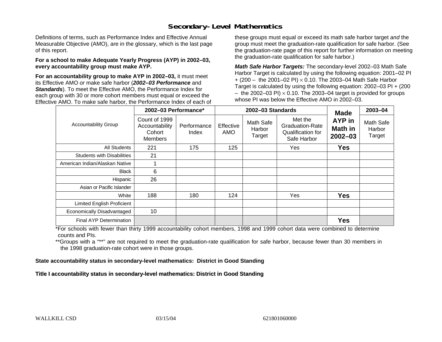### **Secondary-Level Mathematics**

Definitions of terms, such as Performance Index and Effective Annual Measurable Objective (AMO), are in the glossary, which is the last page of this report.

#### **For a school to make Adequate Yearly Progress (AYP) in 2002–03, every accountability group must make AYP.**

**For an accountability group to make AYP in 2002–03,** it must meet its Effective AMO *or* make safe harbor (*2002–03 Performance* and *Standards*). To meet the Effective AMO, the Performance Index for each group with 30 or more cohort members must equal or exceed the Effective AMO. To make safe harbor, the Performance Index of each of these groups must equal or exceed its math safe harbor target *and* the group must meet the graduation-rate qualification for safe harbor. (See the graduation-rate page of this report for further information on meeting the graduation-rate qualification for safe harbor.)

*Math Safe Harbor Targets:* The secondary-level 2002–03 Math Safe Harbor Target is calculated by using the following equation: 2001–02 PI + (200 – the 2001–02 PI) × 0.10. The 2003–04 Math Safe Harbor Target is calculated by using the following equation: 2002–03 PI + (200  $-$  the 2002–03 PI)  $\times$  0.10. The 2003–04 target is provided for groups whose PI was below the Effective AMO in 2002–03.

|                                   | 2002-03 Performance*                                        |                      |                  | 2002-03 Standards                    | <b>Made</b>                                                           | 2003-04                                 |                               |
|-----------------------------------|-------------------------------------------------------------|----------------------|------------------|--------------------------------------|-----------------------------------------------------------------------|-----------------------------------------|-------------------------------|
| <b>Accountability Group</b>       | Count of 1999<br>Accountability<br>Cohort<br><b>Members</b> | Performance<br>Index | Effective<br>AMO | <b>Math Safe</b><br>Harbor<br>Target | Met the<br><b>Graduation-Rate</b><br>Qualification for<br>Safe Harbor | AYP in<br><b>Math in</b><br>$2002 - 03$ | Math Safe<br>Harbor<br>Target |
| <b>All Students</b>               | 221                                                         | 175                  | 125              |                                      | Yes                                                                   | <b>Yes</b>                              |                               |
| <b>Students with Disabilities</b> | 21                                                          |                      |                  |                                      |                                                                       |                                         |                               |
| American Indian/Alaskan Native    |                                                             |                      |                  |                                      |                                                                       |                                         |                               |
| <b>Black</b>                      | 6                                                           |                      |                  |                                      |                                                                       |                                         |                               |
| Hispanic                          | 26                                                          |                      |                  |                                      |                                                                       |                                         |                               |
| Asian or Pacific Islander         |                                                             |                      |                  |                                      |                                                                       |                                         |                               |
| White                             | 188                                                         | 180                  | 124              |                                      | Yes                                                                   | <b>Yes</b>                              |                               |
| Limited English Proficient        |                                                             |                      |                  |                                      |                                                                       |                                         |                               |
| Economically Disadvantaged        | 10                                                          |                      |                  |                                      |                                                                       |                                         |                               |
| Final AYP Determination           |                                                             |                      |                  |                                      |                                                                       | <b>Yes</b>                              |                               |

\*For schools with fewer than thirty 1999 accountability cohort members, 1998 and 1999 cohort data were combined to determine counts and PIs.

\*\*Groups with a "\*\*" are not required to meet the graduation-rate qualification for safe harbor, because fewer than 30 members in the 1998 graduation-rate cohort were in those groups.

**State accountability status in secondary-level mathematics: District in Good Standing** 

Title I accountability status in secondary-level mathematics: District in Good Standing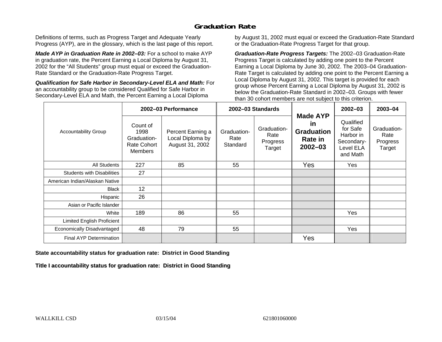### **Graduation Rate**

Definitions of terms, such as Progress Target and Adequate Yearly Progress (AYP), are in the glossary, which is the last page of this report.

*Made AYP in Graduation Rate in 2002–03:* For a school to make AYP in graduation rate, the Percent Earning a Local Diploma by August 31, 2002 for the "All Students" group must equal or exceed the Graduation-Rate Standard or the Graduation-Rate Progress Target.

*Qualification for Safe Harbor in Secondary-Level ELA and Math:* For an accountability group to be considered Qualified for Safe Harbor in Secondary-Level ELA and Math, the Percent Earning a Local Diploma

by August 31, 2002 must equal or exceed the Graduation-Rate Standard or the Graduation-Rate Progress Target for that group.

*Graduation-Rate Progress Targets:* The 2002–03 Graduation-Rate Progress Target is calculated by adding one point to the Percent Earning a Local Diploma by June 30, 2002. The 2003–04 Graduation-Rate Target is calculated by adding one point to the Percent Earning a Local Diploma by August 31, 2002. This target is provided for each group whose Percent Earning a Local Diploma by August 31, 2002 is below the Graduation-Rate Standard in 2002–03. Groups with fewer than 30 cohort members are not subject to this criterion.

|                                   |                                                                         | 2002-03 Performance                                      |                                 | 2002-03 Standards                         |                                                                      | 2002-03                                                                   | 2003-04                                   |
|-----------------------------------|-------------------------------------------------------------------------|----------------------------------------------------------|---------------------------------|-------------------------------------------|----------------------------------------------------------------------|---------------------------------------------------------------------------|-------------------------------------------|
| <b>Accountability Group</b>       | Count of<br>1998<br>Graduation-<br><b>Rate Cohort</b><br><b>Members</b> | Percent Earning a<br>Local Diploma by<br>August 31, 2002 | Graduation-<br>Rate<br>Standard | Graduation-<br>Rate<br>Progress<br>Target | <b>Made AYP</b><br>in<br><b>Graduation</b><br>Rate in<br>$2002 - 03$ | Qualified<br>for Safe<br>Harbor in<br>Secondary-<br>Level ELA<br>and Math | Graduation-<br>Rate<br>Progress<br>Target |
| All Students                      | 227                                                                     | 85                                                       | 55                              |                                           | Yes                                                                  | Yes                                                                       |                                           |
| <b>Students with Disabilities</b> | 27                                                                      |                                                          |                                 |                                           |                                                                      |                                                                           |                                           |
| American Indian/Alaskan Native    |                                                                         |                                                          |                                 |                                           |                                                                      |                                                                           |                                           |
| <b>Black</b>                      | 12                                                                      |                                                          |                                 |                                           |                                                                      |                                                                           |                                           |
| Hispanic                          | 26                                                                      |                                                          |                                 |                                           |                                                                      |                                                                           |                                           |
| Asian or Pacific Islander         |                                                                         |                                                          |                                 |                                           |                                                                      |                                                                           |                                           |
| White                             | 189                                                                     | 86                                                       | 55                              |                                           |                                                                      | Yes                                                                       |                                           |
| Limited English Proficient        |                                                                         |                                                          |                                 |                                           |                                                                      |                                                                           |                                           |
| Economically Disadvantaged        | 48                                                                      | 79                                                       | 55                              |                                           |                                                                      | Yes                                                                       |                                           |
| <b>Final AYP Determination</b>    |                                                                         |                                                          |                                 |                                           | Yes                                                                  |                                                                           |                                           |

#### **State accountability status for graduation rate: District in Good Standing**

Title I accountability status for graduation rate: District in Good Standing